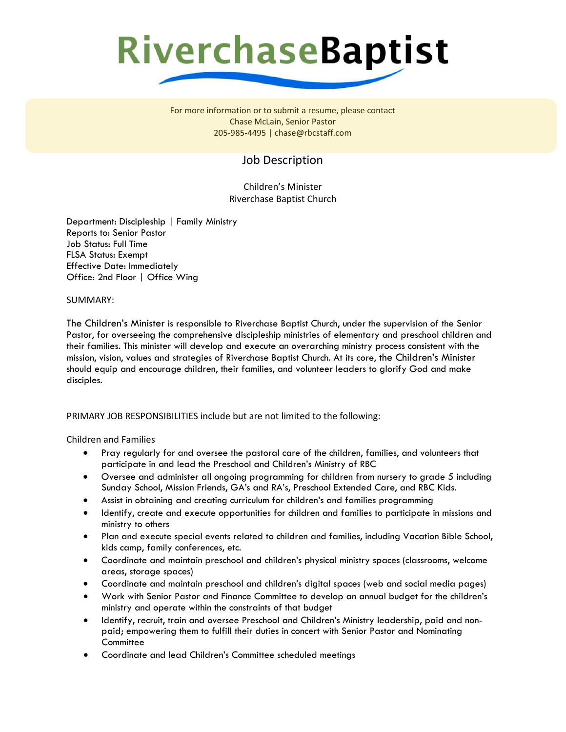## **RiverchaseBaptist**

For more information or to submit a resume, please contact Chase McLain, Senior Pastor 205-985-4495 | chase@rbcstaff.com

### Job Description

Children's Minister Riverchase Baptist Church

Department: Discipleship | Family Ministry Reports to: Senior Pastor Job Status: Full Time FLSA Status: Exempt Effective Date: Immediately Office: 2nd Floor | Office Wing

#### SUMMARY:

The Children's Minister is responsible to Riverchase Baptist Church, under the supervision of the Senior Pastor, for overseeing the comprehensive discipleship ministries of elementary and preschool children and their families. This minister will develop and execute an overarching ministry process consistent with the mission, vision, values and strategies of Riverchase Baptist Church. At its core, the Children's Minister should equip and encourage children, their families, and volunteer leaders to glorify God and make disciples.

#### PRIMARY JOB RESPONSIBILITIES include but are not limited to the following:

#### Children and Families

- Pray regularly for and oversee the pastoral care of the children, families, and volunteers that participate in and lead the Preschool and Children's Ministry of RBC
- Oversee and administer all ongoing programming for children from nursery to grade 5 including Sunday School, Mission Friends, GA's and RA's, Preschool Extended Care, and RBC Kids.
- Assist in obtaining and creating curriculum for children's and families programming
- Identify, create and execute opportunities for children and families to participate in missions and ministry to others
- Plan and execute special events related to children and families, including Vacation Bible School, kids camp, family conferences, etc.
- Coordinate and maintain preschool and children's physical ministry spaces (classrooms, welcome areas, storage spaces)
- Coordinate and maintain preschool and children's digital spaces (web and social media pages)
- Work with Senior Pastor and Finance Committee to develop an annual budget for the children's ministry and operate within the constraints of that budget
- Identify, recruit, train and oversee Preschool and Children's Ministry leadership, paid and nonpaid; empowering them to fulfill their duties in concert with Senior Pastor and Nominating **Committee**
- Coordinate and lead Children's Committee scheduled meetings